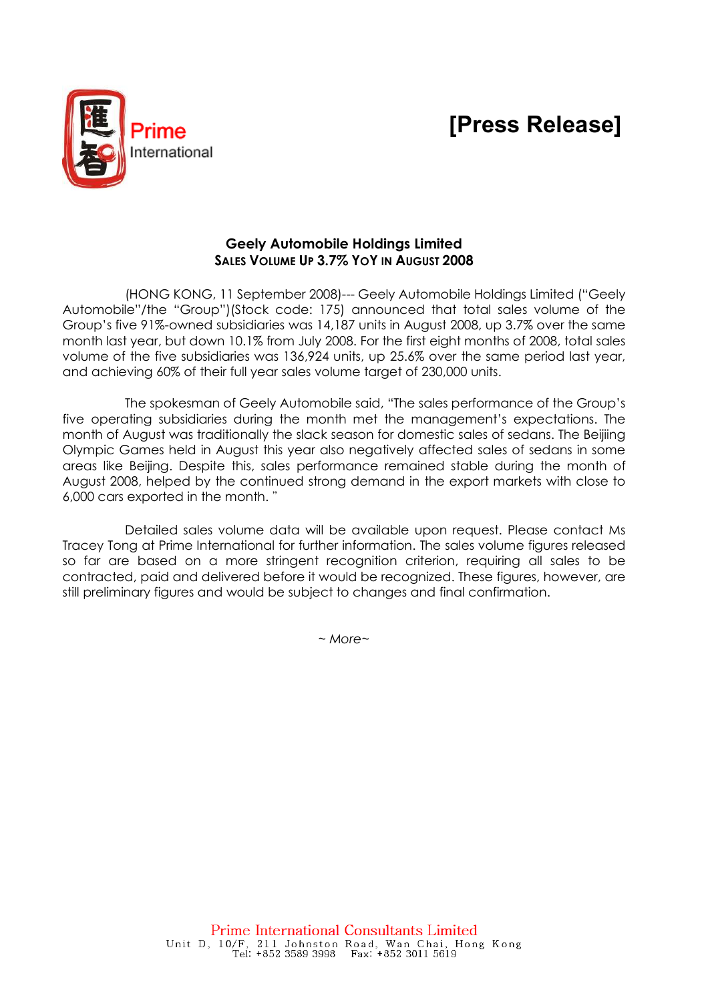# [Press Release]



## Geely Automobile Holdings Limited SALES VOLUME UP 3.7% YOY IN AUGUST 2008

(HONG KONG, 11 September 2008)--- Geely Automobile Holdings Limited ("Geely Automobile"/the "Group")(Stock code: 175) announced that total sales volume of the Group's five 91%-owned subsidiaries was 14,187 units in August 2008, up 3.7% over the same month last year, but down 10.1% from July 2008. For the first eight months of 2008, total sales volume of the five subsidiaries was 136,924 units, up 25.6% over the same period last year, and achieving 60% of their full year sales volume target of 230,000 units.

The spokesman of Geely Automobile said, "The sales performance of the Group's five operating subsidiaries during the month met the management's expectations. The month of August was traditionally the slack season for domestic sales of sedans. The Beijiing Olympic Games held in August this year also negatively affected sales of sedans in some areas like Beijing. Despite this, sales performance remained stable during the month of August 2008, helped by the continued strong demand in the export markets with close to 6,000 cars exported in the month. "

Detailed sales volume data will be available upon request. Please contact Ms Tracey Tong at Prime International for further information. The sales volume figures released so far are based on a more stringent recognition criterion, requiring all sales to be contracted, paid and delivered before it would be recognized. These figures, however, are still preliminary figures and would be subject to changes and final confirmation.

~ More~